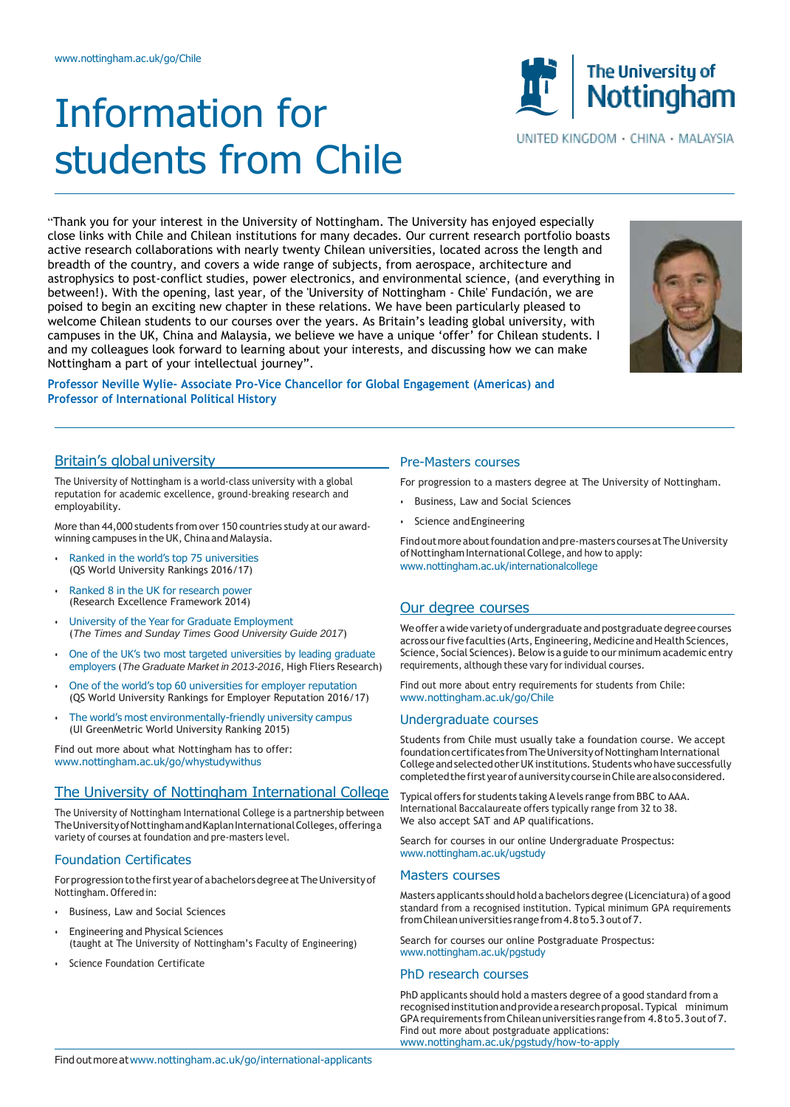# Information for students from Chile

"Thank you for your interest in the University of Nottingham. The University has enjoyed especially close links with Chile and Chilean institutions for many decades. Our current research portfolio boasts active research collaborations with nearly twenty Chilean universities, located across the length and breadth of the country, and covers a wide range of subjects, from aerospace, architecture and astrophysics to post-conflict studies, power electronics, and environmental science, (and everything in between!). With the opening, last year, of the 'University of Nottingham - Chile' Fundación, we are poised to begin an exciting new chapter in these relations. We have been particularly pleased to welcome Chilean students to our courses over the years. As Britain's leading global university, with campuses in the UK, China and Malaysia, we believe we have a unique 'offer' for Chilean students. I and my colleagues look forward to learning about your interests, and discussing how we can make Nottingham a part of your intellectual journey".

**Professor Neville Wylie- Associate Pro-Vice Chancellor for Global Engagement (Americas) and Professor of International Political History**

# Britain's globaluniversity

The University of Nottingham is a world-class university with a global reputation for academic excellence, ground-breaking research and employability.

More than 44,000 students from over 150 countries study at our awardwinning campuses in the UK, China and Malaysia.

- Ranked in the world's top 75 universities (QS World University Rankings 2016/17)
- Ranked 8 in the UK for research power (Research Excellence Framework 2014)
- University of the Year for Graduate Employment (*The Times and Sunday Times Good University Guide 2017*)
- One of the UK's two most targeted universities by leading graduate employers (*The Graduate Market in 2013-2016*, High Fliers Research)
- One of the world's top 60 universities for employer reputation (QS World University Rankings for Employer Reputation 2016/17)
- The world's most environmentally-friendly university campus (UI GreenMetric World University Ranking 2015)

Find out more about what Nottingham has to offer: [www.nottingham.ac.uk/go/whystudywithus](http://www.nottingham.ac.uk/go/whystudywithus)

# The University of Nottingham International College

The University of Nottingham International College is a partnership between The University of Nottingham and Kaplan International Colleges, offering a variety of courses at foundation and pre-masters level.

# Foundation Certificates

For progression to the first year of a bachelors degree at The University of Nottingham.Offeredin:

- Business, Law and Social Sciences
- Engineering and Physical Sciences (taught at The University of Nottingham's Faculty of Engineering)
- Science Foundation Certificate

# Pre-Masters courses

For progression to a masters degree at The University of Nottingham.

- Business, Law and Social Sciences
- Science and Engineering

Find out more about foundation and pre-masters courses at The University of Nottingham International College, and how to apply: [www.nottingham.ac.uk/internationalcollege](http://www.nottingham.ac.uk/internationalcollege)

# Our degree courses

We offer a wide variety of undergraduate and postgraduate degree courses across our five faculties (Arts, Engineering, Medicine and Health Sciences, Science, Social Sciences). Below is a guide to our minimum academic entry requirements, although these vary for individual courses.

Find out more about entry requirements for students from Chile: [www.nottingham.ac.uk/go/Chile](http://www.nottingham.ac.uk/go/Chile)

#### Undergraduate courses

Students from Chile must usually take a foundation course. We accept foundation certificates from The University of Nottingham International College and selected other UK institutions. Students who have successfully completed the first year of a university course in Chile are also considered.

Typical offers for students taking A levels range from BBC to AAA. International Baccalaureate offers typically range from 32 to 38. We also accept SAT and AP qualifications.

Search for courses in our online Undergraduate Prospectus: [www.nottingham.ac.uk/ugstudy](http://www.nottingham.ac.uk/ugstudy)

#### Masters courses

Masters applicants should hold a bachelors degree (Licenciatura) of a good standard from a recognised institution. Typical minimum GPA requirements fromChileanuniversities rangefrom4.8to5.3outof7.

Search for courses our online Postgraduate Prospectus: [www.nottingham.ac.uk/pgstudy](http://www.nottingham.ac.uk/pgstudy)

#### PhD research courses

PhD applicants should hold a masters degree of a good standard from a recognised institution and provide a research proposal. Typical minimum GPArequirements fromChileanuniversities rangefrom 4.8to5.3outof7. Find out more about postgraduate applications: [www.nottingham.ac.uk/pgstudy/how-to-apply](http://www.nottingham.ac.uk/pgstudy/how-to-apply)





UNITED KINGDOM · CHINA · MALAYSIA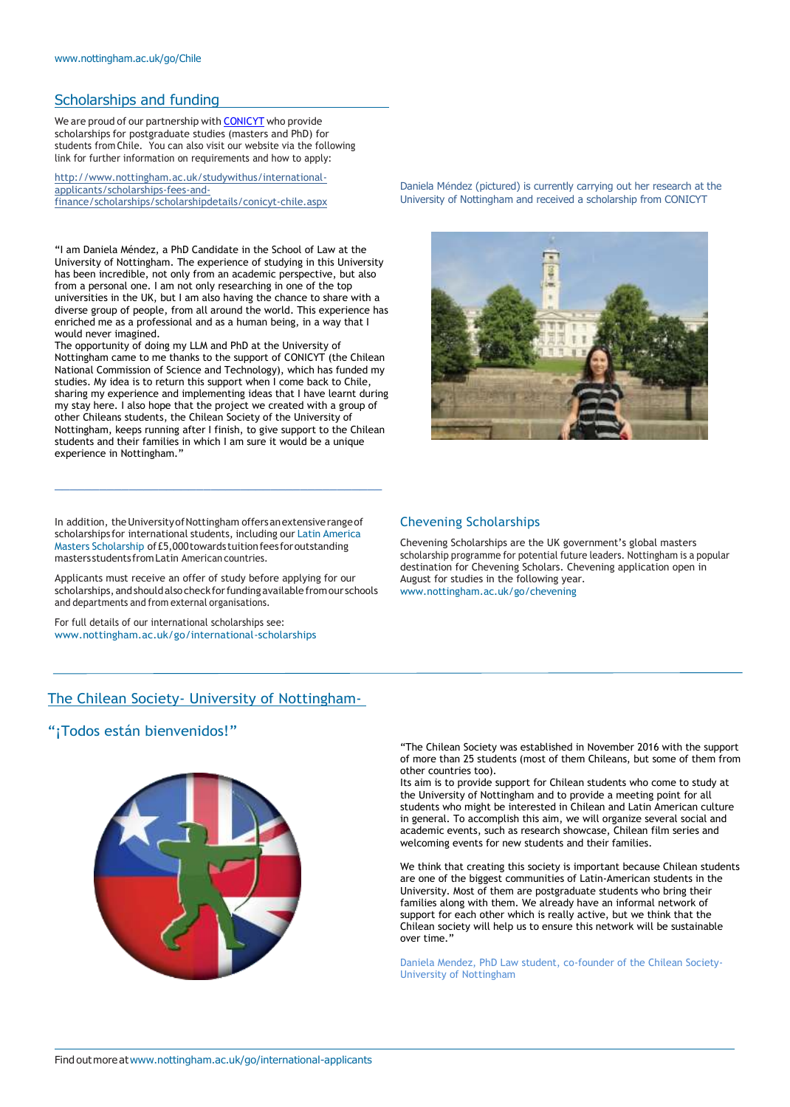# Scholarships and funding

We are proud of our partnership with **[CONICYT](file:///C:/Users/brzep2/Desktop/CONICYT)** who provide scholarships for postgraduate studies (masters and PhD) for students from Chile. You can also visit our website via the following link for further information on requirements and how to apply:

[http://www.nottingham.ac.uk/studywithus/international](http://www.nottingham.ac.uk/studywithus/international-applicants/scholarships-fees-and-finance/scholarships/scholarshipdetails/conicyt-chile.aspx)[applicants/scholarships-fees-and](http://www.nottingham.ac.uk/studywithus/international-applicants/scholarships-fees-and-finance/scholarships/scholarshipdetails/conicyt-chile.aspx)[finance/scholarships/scholarshipdetails/conicyt-chile.aspx](http://www.nottingham.ac.uk/studywithus/international-applicants/scholarships-fees-and-finance/scholarships/scholarshipdetails/conicyt-chile.aspx)

"I am Daniela Méndez, a PhD Candidate in the School of Law at the University of Nottingham. The experience of studying in this University has been incredible, not only from an academic perspective, but also from a personal one. I am not only researching in one of the top universities in the UK, but I am also having the chance to share with a diverse group of people, from all around the world. This experience has enriched me as a professional and as a human being, in a way that I would never imagined.

The opportunity of doing my LLM and PhD at the University of Nottingham came to me thanks to the support of CONICYT (the Chilean National Commission of Science and Technology), which has funded my studies. My idea is to return this support when I come back to Chile, sharing my experience and implementing ideas that I have learnt during my stay here. I also hope that the project we created with a group of other Chileans students, the Chilean Society of the University of Nottingham, keeps running after I finish, to give support to the Chilean students and their families in which I am sure it would be a unique experience in Nottingham."

In addition, the University of Nottingham offers an extensive range of scholarships for international students, including our Latin America Masters Scholarship of£5,000towards tuitionfees foroutstanding masters students fromLatin American countries.

\_\_\_\_\_\_\_\_\_\_\_\_\_\_\_\_\_\_\_\_\_\_\_\_\_\_\_\_\_\_\_\_\_\_\_\_\_\_\_\_\_\_\_\_

Applicants must receive an offer of study before applying for our scholarships,andshouldalsocheckforfundingavailablefromour schools and departments and from external organisations.

For full details of our international scholarships see: [www.nottingham.ac.uk/go/international-scholarships](http://www.nottingham.ac.uk/go/international-scholarships)

# The Chilean Society- University of Nottingham-

# "¡Todos están bienvenidos!"



Daniela Méndez (pictured) is currently carrying out her research at the University of Nottingham and received a scholarship from CONICYT



#### Chevening Scholarships

Chevening Scholarships are the UK government's global masters scholarship programme for potential future leaders. Nottingham is a popular destination for Chevening Scholars. Chevening application open in August for studies in the following year. [www.nottingham.ac.uk/go/chevening](http://www.nottingham.ac.uk/go/chevening)

"The Chilean Society was established in November 2016 with the support of more than 25 students (most of them Chileans, but some of them from other countries too).

Its aim is to provide support for Chilean students who come to study at the University of Nottingham and to provide a meeting point for all students who might be interested in Chilean and Latin American culture in general. To accomplish this aim, we will organize several social and academic events, such as research showcase, Chilean film series and welcoming events for new students and their families.

We think that creating this society is important because Chilean students are one of the biggest communities of Latin-American students in the University. Most of them are postgraduate students who bring their families along with them. We already have an informal network of support for each other which is really active, but we think that the Chilean society will help us to ensure this network will be sustainable over time.

Daniela Mendez, PhD Law student, co-founder of the Chilean Society-University of Nottingham